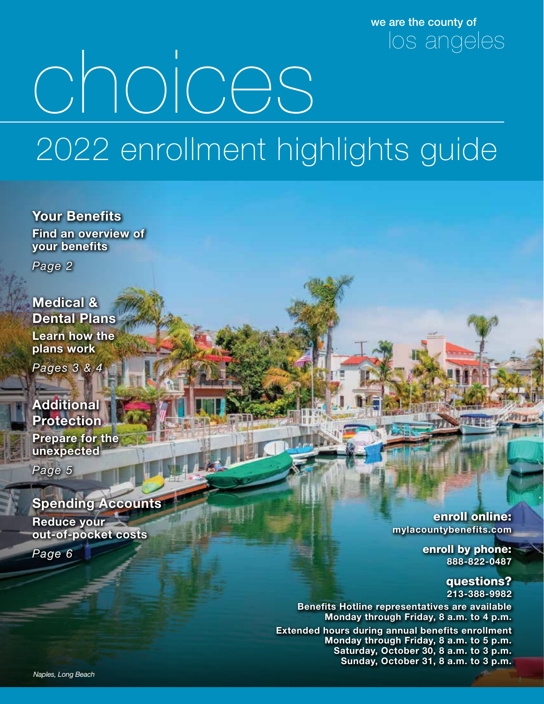we are the county of los angeles

# choices 2022 enrollment highlights guide

Your Benefits Find an overview of your benefits

*Page 2*

Medical & Dental Plans Learn how the plans work

*Pages 3 & 4*

### **Additional Protection**

Prepare for the unexpected

*Page 5*

### Spending Accounts

Reduce your out-of-pocket costs

*Page 6*

enroll online: mylacountybenefits.com

> enroll by phone: 888-822-0487

> > questions? 213-388-9982

Benefits Hotline representatives are available Monday through Friday, 8 a.m. to 4 p.m.

Extended hours during annual benefits enrollment Monday through Friday, 8 a.m. to 5 p.m. Saturday, October 30, 8 a.m. to 3 p.m. Sunday, October 31, 8 a.m. to 3 p.m.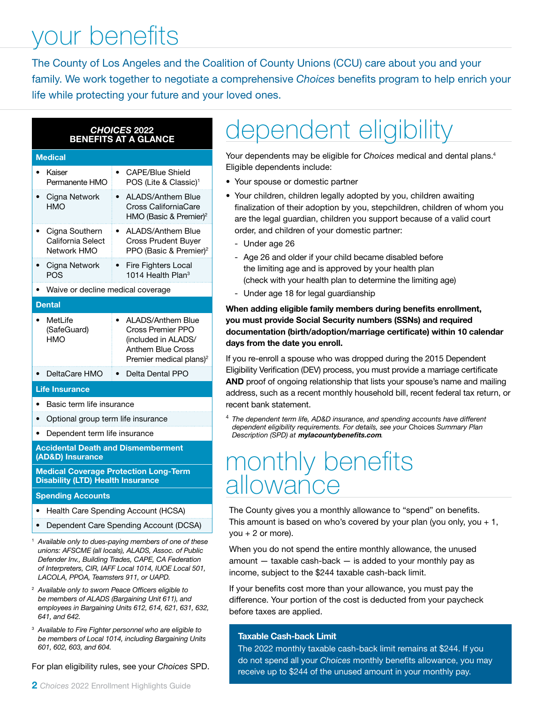### your benefits

The County of Los Angeles and the Coalition of County Unions (CCU) care about you and your family. We work together to negotiate a comprehensive *Choices* benefits program to help enrich your life while protecting your future and your loved ones.

### *CHOICES* 2022 BENEFITS AT A GLANCE

#### **Medical**

| Kaiser<br>Permanente HMO                           | CAPE/Blue Shield<br>POS (Lite & Classic) <sup>1</sup>                                                                            |  |  |
|----------------------------------------------------|----------------------------------------------------------------------------------------------------------------------------------|--|--|
| Cigna Network<br><b>HMO</b>                        | ALADS/Anthem Blue<br>$\bullet$<br>Cross CaliforniaCare<br>HMO (Basic & Premier) <sup>2</sup>                                     |  |  |
| Cigna Southern<br>California Select<br>Network HMO | ALADS/Anthem Blue<br>$\bullet$<br>Cross Prudent Buyer<br>PPO (Basic & Premier) <sup>2</sup>                                      |  |  |
| Cigna Network<br><b>POS</b>                        | <b>Fire Fighters Local</b><br>$\bullet$<br>1014 Health Plan $3$                                                                  |  |  |
| Waive or decline medical coverage                  |                                                                                                                                  |  |  |
| <b>Dental</b>                                      |                                                                                                                                  |  |  |
| MetLife<br>(SafeGuard)<br>HMO                      | <b>ALADS/Anthem Blue</b><br>Cross Premier PPO<br>(included in ALADS/<br>Anthem Blue Cross<br>Premier medical plans) <sup>2</sup> |  |  |
| DeltaCare HMO                                      | Delta Dental PPO                                                                                                                 |  |  |

#### Life Insurance

- Basic term life insurance
- Optional group term life insurance
- Dependent term life insurance

Accidental Death and Dismemberment (AD&D) Insurance

Medical Coverage Protection Long-Term Disability (LTD) Health Insurance

#### Spending Accounts

- Health Care Spending Account (HCSA)
- Dependent Care Spending Account (DCSA)
- <sup>1</sup> *Available only to dues-paying members of one of these unions: AFSCME (all locals), ALADS, Assoc. of Public Defender Inv., Building Trades, CAPE, CA Federation of Interpreters, CIR, IAFF Local 1014, IUOE Local 501, LACOLA, PPOA, Teamsters 911, or UAPD.*
- <sup>2</sup> *Available only to sworn Peace Officers eligible to be members of ALADS (Bargaining Unit 611), and employees in Bargaining Units 612, 614, 621, 631, 632, 641, and 642.*
- <sup>3</sup> *Available to Fire Fighter personnel who are eligible to be members of Local 1014, including Bargaining Units 601, 602, 603, and 604.*

For plan eligibility rules, see your *Choices* SPD.

### dependent eligibility

Your dependents may be eligible for *Choices* medical and dental plans.4 Eligible dependents include:

- Your spouse or domestic partner
- Your children, children legally adopted by you, children awaiting finalization of their adoption by you, stepchildren, children of whom you are the legal guardian, children you support because of a valid court order, and children of your domestic partner:
	- Under age 26
	- Age 26 and older if your child became disabled before the limiting age and is approved by your health plan (check with your health plan to determine the limiting age)
	- Under age 18 for legal guardianship

### When adding eligible family members during benefits enrollment, you must provide Social Security numbers (SSNs) and required documentation (birth/adoption/marriage certificate) within 10 calendar days from the date you enroll.

If you re-enroll a spouse who was dropped during the 2015 Dependent Eligibility Verification (DEV) process, you must provide a marriage certificate AND proof of ongoing relationship that lists your spouse's name and mailing address, such as a recent monthly household bill, recent federal tax return, or recent bank statement.

<sup>4</sup> *The dependent term life, AD&D insurance, and spending accounts have different dependent eligibility requirements. For details, see your* Choices *Summary Plan Description (SPD) at* mylacountybenefits.com*.*

### monthly benefits allowance

The County gives you a monthly allowance to "spend" on benefits. This amount is based on who's covered by your plan (you only, you  $+1$ , you  $+ 2$  or more).

When you do not spend the entire monthly allowance, the unused amount — taxable cash-back — is added to your monthly pay as income, subject to the \$244 taxable cash-back limit.

If your benefits cost more than your allowance, you must pay the difference. Your portion of the cost is deducted from your paycheck before taxes are applied.

### Taxable Cash-back Limit

The 2022 monthly taxable cash-back limit remains at \$244. If you do not spend all your *Choices* monthly benefits allowance, you may receive up to \$244 of the unused amount in your monthly pay.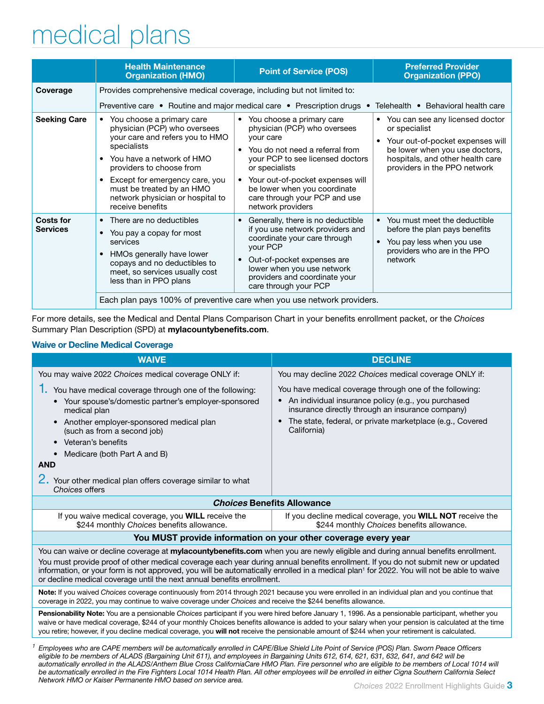### medical plans

|                                     | <b>Health Maintenance</b><br><b>Organization (HMO)</b>                                                                                                                                                                                                                                        | <b>Point of Service (POS)</b>                                                                                                                                                                                                                                                                   | <b>Preferred Provider</b><br><b>Organization (PPO)</b>                                                                                                                                       |  |
|-------------------------------------|-----------------------------------------------------------------------------------------------------------------------------------------------------------------------------------------------------------------------------------------------------------------------------------------------|-------------------------------------------------------------------------------------------------------------------------------------------------------------------------------------------------------------------------------------------------------------------------------------------------|----------------------------------------------------------------------------------------------------------------------------------------------------------------------------------------------|--|
| Coverage                            | Provides comprehensive medical coverage, including but not limited to:                                                                                                                                                                                                                        |                                                                                                                                                                                                                                                                                                 |                                                                                                                                                                                              |  |
|                                     | Preventive care • Routine and major medical care • Prescription drugs •                                                                                                                                                                                                                       |                                                                                                                                                                                                                                                                                                 | Telehealth • Behavioral health care                                                                                                                                                          |  |
| <b>Seeking Care</b>                 | • You choose a primary care<br>physician (PCP) who oversees<br>your care and refers you to HMO<br>specialists<br>You have a network of HMO<br>providers to choose from<br>Except for emergency care, you<br>must be treated by an HMO<br>network physician or hospital to<br>receive benefits | • You choose a primary care<br>physician (PCP) who oversees<br>your care<br>• You do not need a referral from<br>your PCP to see licensed doctors<br>or specialists<br>• Your out-of-pocket expenses will<br>be lower when you coordinate<br>care through your PCP and use<br>network providers | • You can see any licensed doctor<br>or specialist<br>Your out-of-pocket expenses will<br>be lower when you use doctors,<br>hospitals, and other health care<br>providers in the PPO network |  |
| <b>Costs for</b><br><b>Services</b> | • There are no deductibles<br>• You pay a copay for most<br>services<br>HMOs generally have lower<br>copays and no deductibles to<br>meet, so services usually cost<br>less than in PPO plans                                                                                                 | Generally, there is no deductible<br>$\bullet$<br>if you use network providers and<br>coordinate your care through<br>your PCP<br>Out-of-pocket expenses are<br>$\bullet$<br>lower when you use network<br>providers and coordinate your<br>care through your PCP                               | • You must meet the deductible<br>before the plan pays benefits<br>You pay less when you use<br>providers who are in the PPO<br>network                                                      |  |
|                                     | Each plan pays 100% of preventive care when you use network providers.                                                                                                                                                                                                                        |                                                                                                                                                                                                                                                                                                 |                                                                                                                                                                                              |  |

For more details, see the Medical and Dental Plans Comparison Chart in your benefits enrollment packet, or the *Choices* Summary Plan Description (SPD) at mylacountybenefits.com.

#### Waive or Decline Medical Coverage

| <b>WAIVE</b>                                                                                                                                                                                                                                                                                                                                                                                                                                                                                          | <b>DECLINE</b>                                                                                                                                                                                                                                                           |  |  |
|-------------------------------------------------------------------------------------------------------------------------------------------------------------------------------------------------------------------------------------------------------------------------------------------------------------------------------------------------------------------------------------------------------------------------------------------------------------------------------------------------------|--------------------------------------------------------------------------------------------------------------------------------------------------------------------------------------------------------------------------------------------------------------------------|--|--|
| You may waive 2022 Choices medical coverage ONLY if:                                                                                                                                                                                                                                                                                                                                                                                                                                                  | You may decline 2022 Choices medical coverage ONLY if:                                                                                                                                                                                                                   |  |  |
| You have medical coverage through one of the following:<br>• Your spouse's/domestic partner's employer-sponsored<br>medical plan<br>Another employer-sponsored medical plan<br>$\bullet$<br>(such as from a second job)<br>Veteran's benefits<br>$\bullet$                                                                                                                                                                                                                                            | You have medical coverage through one of the following:<br>An individual insurance policy (e.g., you purchased<br>$\bullet$<br>insurance directly through an insurance company)<br>The state, federal, or private marketplace (e.g., Covered<br>$\bullet$<br>California) |  |  |
| Medicare (both Part A and B)<br>$\bullet$<br><b>AND</b>                                                                                                                                                                                                                                                                                                                                                                                                                                               |                                                                                                                                                                                                                                                                          |  |  |
| 2. Your other medical plan offers coverage similar to what<br>Choices offers                                                                                                                                                                                                                                                                                                                                                                                                                          |                                                                                                                                                                                                                                                                          |  |  |
|                                                                                                                                                                                                                                                                                                                                                                                                                                                                                                       | <b>Choices Benefits Allowance</b>                                                                                                                                                                                                                                        |  |  |
| If you waive medical coverage, you <b>WILL</b> receive the<br>If you decline medical coverage, you <b>WILL NOT</b> receive the<br>\$244 monthly Choices benefits allowance.<br>\$244 monthly Choices benefits allowance.                                                                                                                                                                                                                                                                              |                                                                                                                                                                                                                                                                          |  |  |
| You MUST provide information on your other coverage every year                                                                                                                                                                                                                                                                                                                                                                                                                                        |                                                                                                                                                                                                                                                                          |  |  |
| You can waive or decline coverage at mylacountybenefits.com when you are newly eligible and during annual benefits enrollment.<br>You must provide proof of other medical coverage each year during annual benefits enrollment. If you do not submit new or updated<br>information, or your form is not approved, you will be automatically enrolled in a medical plan <sup>1</sup> for 2022. You will not be able to waive<br>or decline medical coverage until the next annual benefits enrollment. |                                                                                                                                                                                                                                                                          |  |  |
| Note: If you waived Choices coverage continuously from 2014 through 2021 because you were enrolled in an individual plan and you continue that<br>coverage in 2022, you may continue to waive coverage under Choices and receive the \$244 benefits allowance.                                                                                                                                                                                                                                        |                                                                                                                                                                                                                                                                          |  |  |
| Pensionability Note: You are a pensionable Choices participant if you were hired before January 1, 1996. As a pensionable participant, whether you<br>waive or have medical coverage, \$244 of your monthly Choices benefits allowance is added to your salary when your pension is calculated at the time<br>you retire; however, if you decline medical coverage, you will not receive the pensionable amount of \$244 when your retirement is calculated.                                          |                                                                                                                                                                                                                                                                          |  |  |
| Employees who are CAPE members will be automatically enrolled in CAPE/Blue Shield Lite Point of Service (POS) Plan. Sworn Peace Officers<br>eligible to be members of ALADS (Bargaining Unit 611), and employees in Bargaining Units 612, 614, 621, 631, 632, 641, and 642 will be<br>automatically enrolled in the ALADS/Anthem Blue Cross CaliforniaCare HMO Plan. Fire personnel who are eligible to be members of Local 1014 will                                                                 |                                                                                                                                                                                                                                                                          |  |  |

*automatically enrolled in the ALADS/Anthem Blue Cross CaliforniaCare HMO Plan. Fire personnel who are eligible to be members of Local 1014 will be automatically enrolled in the Fire Fighters Local 1014 Health Plan. All other employees will be enrolled in either Cigna Southern California Select Network HMO or Kaiser Permanente HMO based on service area.*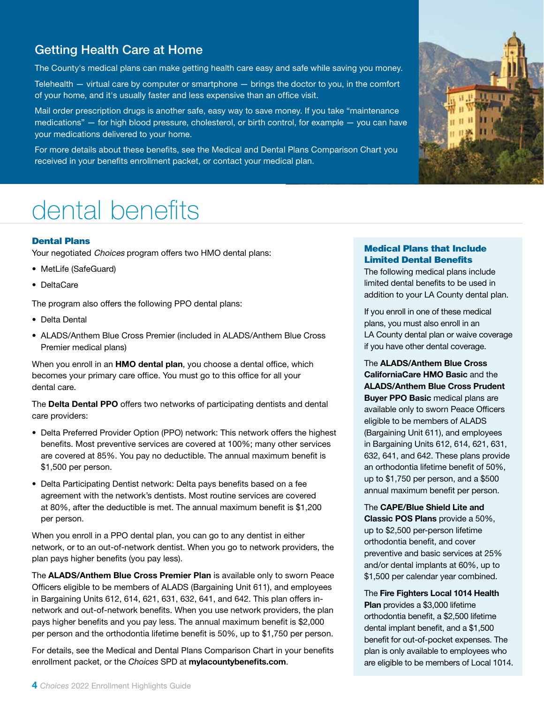### Getting Health Care at Home

The County's medical plans can make getting health care easy and safe while saving you money.

Telehealth — virtual care by computer or smartphone — brings the doctor to you, in the comfort of your home, and it's usually faster and less expensive than an office visit.

Mail order prescription drugs is another safe, easy way to save money. If you take "maintenance medications" — for high blood pressure, cholesterol, or birth control, for example — you can have your medications delivered to your home.

For more details about these benefits, see the Medical and Dental Plans Comparison Chart you received in your benefits enrollment packet, or contact your medical plan.

### dental benefits

### Dental Plans

Your negotiated Choices program offers two HMO dental plans:

- MetLife (SafeGuard)
- DeltaCare

The program also offers the following PPO dental plans:

- Delta Dental
- ALADS/Anthem Blue Cross Premier (included in ALADS/Anthem Blue Cross Premier medical plans)

When you enroll in an HMO dental plan, you choose a dental office, which becomes your primary care office. You must go to this office for all your dental care.

The Delta Dental PPO offers two networks of participating dentists and dental care providers:

- Delta Preferred Provider Option (PPO) network: This network offers the highest benefits. Most preventive services are covered at 100%; many other services are covered at 85%. You pay no deductible. The annual maximum benefit is \$1,500 per person.
- Delta Participating Dentist network: Delta pays benefits based on a fee agreement with the network's dentists. Most routine services are covered at 80%, after the deductible is met. The annual maximum benefit is \$1,200 per person.

When you enroll in a PPO dental plan, you can go to any dentist in either network, or to an out-of-network dentist. When you go to network providers, the plan pays higher benefits (you pay less).

The ALADS/Anthem Blue Cross Premier Plan is available only to sworn Peace Officers eligible to be members of ALADS (Bargaining Unit 611), and employees in Bargaining Units 612, 614, 621, 631, 632, 641, and 642. This plan offers innetwork and out-of-network benefits. When you use network providers, the plan pays higher benefits and you pay less. The annual maximum benefit is \$2,000 per person and the orthodontia lifetime benefit is 50%, up to \$1,750 per person.

For details, see the Medical and Dental Plans Comparison Chart in your benefits enrollment packet, or the *Choices* SPD at mylacountybenefits.com.



### Medical Plans that Include Limited Dental Benefits

The following medical plans include limited dental benefits to be used in addition to your LA County dental plan.

If you enroll in one of these medical plans, you must also enroll in an LA County dental plan or waive coverage if you have other dental coverage.

The ALADS/Anthem Blue Cross CaliforniaCare HMO Basic and the ALADS/Anthem Blue Cross Prudent **Buyer PPO Basic medical plans are** available only to sworn Peace Officers eligible to be members of ALADS (Bargaining Unit 611), and employees in Bargaining Units 612, 614, 621, 631, 632, 641, and 642. These plans provide an orthodontia lifetime benefit of 50%, up to \$1,750 per person, and a \$500 annual maximum benefit per person.

The CAPE/Blue Shield Lite and Classic POS Plans provide a 50%, up to \$2,500 per-person lifetime orthodontia benefit, and cover preventive and basic services at 25% and/or dental implants at 60%, up to \$1,500 per calendar year combined.

The Fire Fighters Local 1014 Health Plan provides a \$3,000 lifetime orthodontia benefit, a \$2,500 lifetime dental implant benefit, and a \$1,500 benefit for out-of-pocket expenses. The plan is only available to employees who are eligible to be members of Local 1014.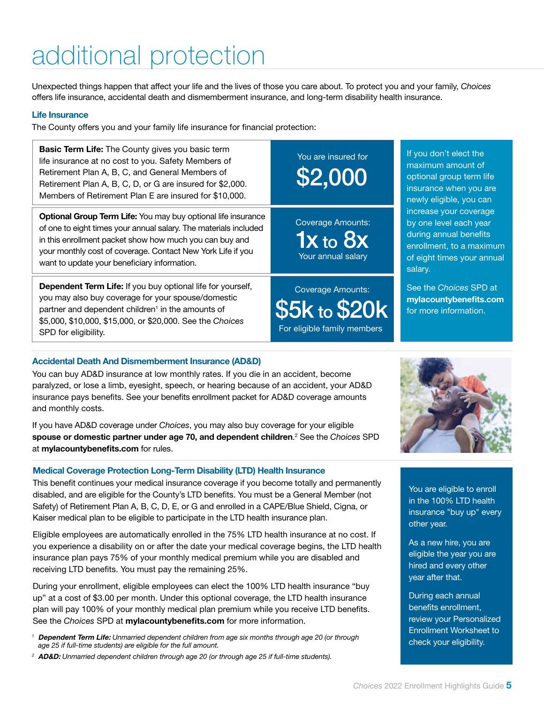## additional protection

Unexpected things happen that affect your life and the lives of those you care about. To protect you and your family, *Choices*  offers life insurance, accidental death and dismemberment insurance, and long-term disability health insurance.

#### Life Insurance

The County offers you and your family life insurance for financial protection:

| <b>Basic Term Life:</b> The County gives you basic term<br>life insurance at no cost to you. Safety Members of<br>Retirement Plan A, B, C, and General Members of<br>Retirement Plan A, B, C, D, or G are insured for \$2,000.<br>Members of Retirement Plan E are insured for \$10,000.                    | You are insured for<br>\$2,000                                           | If you don't elect the<br>maximum amount of<br>optional group term life<br>insurance when you are<br>newly eligible, you can                   |
|-------------------------------------------------------------------------------------------------------------------------------------------------------------------------------------------------------------------------------------------------------------------------------------------------------------|--------------------------------------------------------------------------|------------------------------------------------------------------------------------------------------------------------------------------------|
| Optional Group Term Life: You may buy optional life insurance<br>of one to eight times your annual salary. The materials included<br>in this enrollment packet show how much you can buy and<br>your monthly cost of coverage. Contact New York Life if you<br>want to update your beneficiary information. | <b>Coverage Amounts:</b><br>$1x$ to $8x$<br>Your annual salary           | increase your coverage<br>by one level each year<br>during annual benefits<br>enrollment, to a maximul<br>of eight times your annu-<br>salary. |
| Dependent Term Life: If you buy optional life for yourself,<br>you may also buy coverage for your spouse/domestic<br>partner and dependent children <sup>1</sup> in the amounts of<br>\$5,000, \$10,000, \$15,000, or \$20,000. See the Choices<br>SPD for eligibility.                                     | <b>Coverage Amounts:</b><br>\$5k to \$20k<br>For eligible family members | See the Choices SPD at<br>mylacountybenefits.cor<br>for more information.                                                                      |

### Accidental Death And Dismemberment Insurance (AD&D)

You can buy AD&D insurance at low monthly rates. If you die in an accident, become paralyzed, or lose a limb, eyesight, speech, or hearing because of an accident, your AD&D insurance pays benefits. See your benefits enrollment packet for AD&D coverage amounts and monthly costs.

If you have AD&D coverage under *Choices*, you may also buy coverage for your eligible spouse or domestic partner under age 70, and dependent children. 2 See the *Choices* SPD at mylacountybenefits.com for rules.

### Medical Coverage Protection Long-Term Disability (LTD) Health Insurance

This benefit continues your medical insurance coverage if you become totally and permanently disabled, and are eligible for the County's LTD benefits. You must be a General Member (not Safety) of Retirement Plan A, B, C, D, E, or G and enrolled in a CAPE/Blue Shield, Cigna, or Kaiser medical plan to be eligible to participate in the LTD health insurance plan.

Eligible employees are automatically enrolled in the 75% LTD health insurance at no cost. If you experience a disability on or after the date your medical coverage begins, the LTD health insurance plan pays 75% of your monthly medical premium while you are disabled and receiving LTD benefits. You must pay the remaining 25%.

During your enrollment, eligible employees can elect the 100% LTD health insurance "buy up" at a cost of \$3.00 per month. Under this optional coverage, the LTD health insurance plan will pay 100% of your monthly medical plan premium while you receive LTD benefits. See the *Choices* SPD at mylacountybenefits.com for more information.

*<sup>1</sup>* Dependent Term Life: *Unmarried dependent children from age six months through age 20 (or through age 25 if full-time students) are eligible for the full amount.*

*<sup>2</sup>* AD&D: *Unmarried dependent children through age 20 (or through age 25 if full-time students).*

dention innual

.com

You are eligible to enroll in the 100% LTD health insurance "buy up" every other year.

As a new hire, you are eligible the year you are hired and every other year after that.

During each annual benefits enrollment, review your Personalized Enrollment Worksheet to check your eligibility.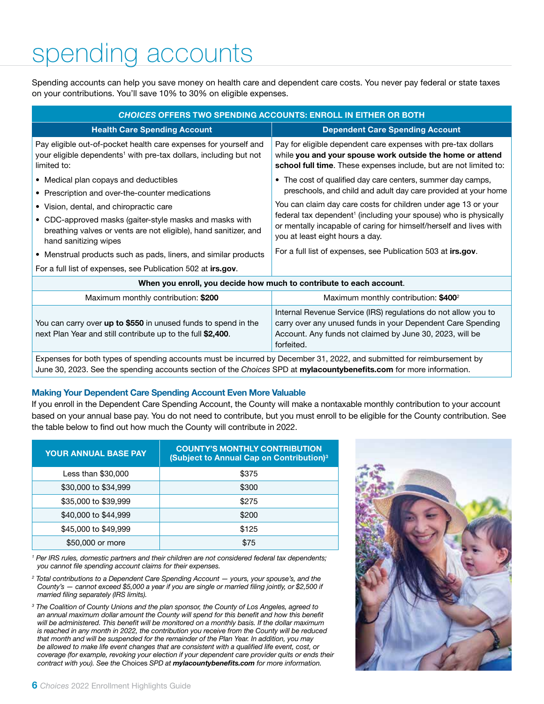### spending accounts

Spending accounts can help you save money on health care and dependent care costs. You never pay federal or state taxes on your contributions. You'll save 10% to 30% on eligible expenses.

| <b>CHOICES OFFERS TWO SPENDING ACCOUNTS: ENROLL IN EITHER OR BOTH</b>                                                                                            |                                                                                                                                                                                                                                                                                                                                                                                                                                                          |  |  |
|------------------------------------------------------------------------------------------------------------------------------------------------------------------|----------------------------------------------------------------------------------------------------------------------------------------------------------------------------------------------------------------------------------------------------------------------------------------------------------------------------------------------------------------------------------------------------------------------------------------------------------|--|--|
| <b>Health Care Spending Account</b>                                                                                                                              | <b>Dependent Care Spending Account</b>                                                                                                                                                                                                                                                                                                                                                                                                                   |  |  |
| Pay eligible out-of-pocket health care expenses for yourself and<br>your eligible dependents <sup>1</sup> with pre-tax dollars, including but not<br>limited to: | Pay for eligible dependent care expenses with pre-tax dollars<br>while you and your spouse work outside the home or attend<br>school full time. These expenses include, but are not limited to:                                                                                                                                                                                                                                                          |  |  |
| • Medical plan copays and deductibles<br>• Prescription and over-the-counter medications<br>• Vision, dental, and chiropractic care                              | • The cost of qualified day care centers, summer day camps,<br>preschools, and child and adult day care provided at your home<br>You can claim day care costs for children under age 13 or your<br>federal tax dependent <sup>1</sup> (including your spouse) who is physically<br>or mentally incapable of caring for himself/herself and lives with<br>you at least eight hours a day.<br>For a full list of expenses, see Publication 503 at irs.gov. |  |  |
| • CDC-approved masks (gaiter-style masks and masks with<br>breathing valves or vents are not eligible), hand sanitizer, and<br>hand sanitizing wipes             |                                                                                                                                                                                                                                                                                                                                                                                                                                                          |  |  |
| • Menstrual products such as pads, liners, and similar products                                                                                                  |                                                                                                                                                                                                                                                                                                                                                                                                                                                          |  |  |
| For a full list of expenses, see Publication 502 at irs.gov.                                                                                                     |                                                                                                                                                                                                                                                                                                                                                                                                                                                          |  |  |
| When you enroll, you decide how much to contribute to each account.                                                                                              |                                                                                                                                                                                                                                                                                                                                                                                                                                                          |  |  |
| Maximum monthly contribution: \$200                                                                                                                              | Maximum monthly contribution: $$400^2$                                                                                                                                                                                                                                                                                                                                                                                                                   |  |  |

| Maximum monthly contribution: \$200                                                                                           | Maximum monthly contribution: \$400 <sup>2</sup>                                                                                                                                                        |
|-------------------------------------------------------------------------------------------------------------------------------|---------------------------------------------------------------------------------------------------------------------------------------------------------------------------------------------------------|
| You can carry over up to \$550 in unused funds to spend in the<br>next Plan Year and still contribute up to the full \$2,400. | Internal Revenue Service (IRS) regulations do not allow you to<br>carry over any unused funds in your Dependent Care Spending<br>Account. Any funds not claimed by June 30, 2023, will be<br>forfeited. |

Expenses for both types of spending accounts must be incurred by December 31, 2022, and submitted for reimbursement by June 30, 2023. See the spending accounts section of the *Choices* SPD at mylacountybenefits.com for more information.

#### Making Your Dependent Care Spending Account Even More Valuable

If you enroll in the Dependent Care Spending Account, the County will make a nontaxable monthly contribution to your account based on your annual base pay. You do not need to contribute, but you must enroll to be eligible for the County contribution. See the table below to find out how much the County will contribute in 2022.

| <b>YOUR ANNUAL BASE PAY</b> | <b>COUNTY'S MONTHLY CONTRIBUTION</b><br>(Subject to Annual Cap on Contribution) <sup>3</sup> |
|-----------------------------|----------------------------------------------------------------------------------------------|
| Less than \$30,000          | \$375                                                                                        |
| \$30,000 to \$34,999        | \$300                                                                                        |
| \$35,000 to \$39,999        | \$275                                                                                        |
| \$40,000 to \$44,999        | \$200                                                                                        |
| \$45,000 to \$49,999        | \$125                                                                                        |
| \$50,000 or more            | \$75                                                                                         |

<sup>1</sup> Per IRS rules, domestic partners and their children are not considered federal tax dependents; *you cannot file spending account claims for their expenses.* 

<sup>2</sup> Total contributions to a Dependent Care Spending Account — yours, your spouse's, and the *County's — cannot exceed \$5,000 a year if you are single or married filing jointly, or \$2,500 if married filing separately (IRS limits).*

<sup>3</sup> The Coalition of County Unions and the plan sponsor, the County of Los Angeles, agreed to an annual maximum dollar amount the County will spend for this benefit and how this benefit *will be administered. This benefit will be monitored on a monthly basis. If the dollar maximum is reached in any month in 2022, the contribution you receive from the County will be reduced that month and will be suspended for the remainder of the Plan Year. In addition, you may be allowed to make life event changes that are consistent with a qualified life event, cost, or coverage (for example, revoking your election if your dependent care provider quits or ends their contract with you). See the* Choices *SPD at mylacountybenefits.com for more information.*

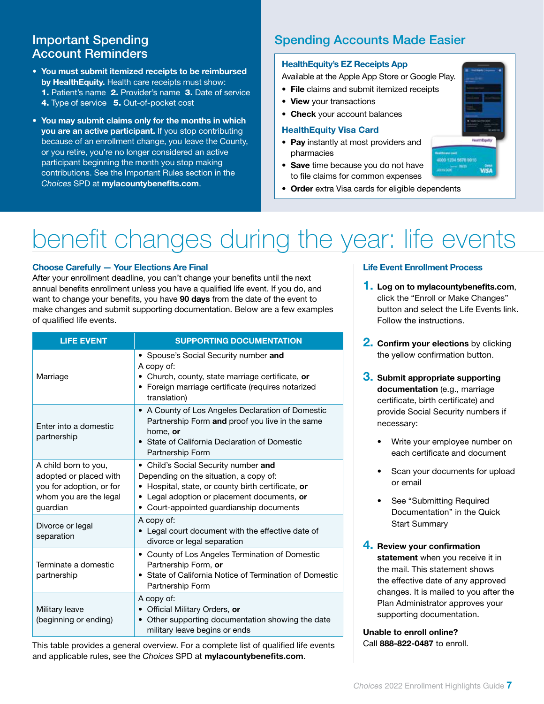### Account Reminders

- You must submit itemized receipts to be reimbursed by HealthEquity. Health care receipts must show: 1. Patient's name 2. Provider's name 3. Date of service 4. Type of service 5. Out-of-pocket cost
- You may submit claims only for the months in which you are an active participant. If you stop contributing because of an enrollment change, you leave the County, or you retire, you're no longer considered an active participant beginning the month you stop making contributions. See the Important Rules section in the *Choices* SPD at mylacountybenefits.com.

### **Important Spending Community Spending Accounts Made Easier**

### HealthEquity's EZ Receipts App

Available at the Apple App Store or Google Play.

- File claims and submit itemized receipts
- View your transactions
- Check your account balances

#### HealthEquity Visa Card

- Pay instantly at most providers and pharmacies
- Save time because you do not have to file claims for common expenses
- Order extra Visa cards for eligible dependents

# benefit changes during the year: life events

### Choose Carefully — Your Elections Are Final

After your enrollment deadline, you can't change your benefits until the next annual benefits enrollment unless you have a qualified life event. If you do, and want to change your benefits, you have 90 days from the date of the event to make changes and submit supporting documentation. Below are a few examples of qualified life events.

| <b>LIFE EVENT</b>                                                                                                | <b>SUPPORTING DOCUMENTATION</b>                                                                                                                                                                                                 |
|------------------------------------------------------------------------------------------------------------------|---------------------------------------------------------------------------------------------------------------------------------------------------------------------------------------------------------------------------------|
| Marriage                                                                                                         | • Spouse's Social Security number and<br>A copy of:<br>• Church, county, state marriage certificate, or<br>• Foreign marriage certificate (requires notarized<br>translation)                                                   |
| Enter into a domestic<br>partnership                                                                             | • A County of Los Angeles Declaration of Domestic<br>Partnership Form and proof you live in the same<br>home, or<br>• State of California Declaration of Domestic<br>Partnership Form                                           |
| A child born to you,<br>adopted or placed with<br>you for adoption, or for<br>whom you are the legal<br>guardian | • Child's Social Security number and<br>Depending on the situation, a copy of:<br>• Hospital, state, or county birth certificate, or<br>• Legal adoption or placement documents, or<br>• Court-appointed guardianship documents |
| Divorce or legal<br>separation                                                                                   | A copy of:<br>• Legal court document with the effective date of<br>divorce or legal separation                                                                                                                                  |
| Terminate a domestic<br>partnership                                                                              | • County of Los Angeles Termination of Domestic<br>Partnership Form, or<br>• State of California Notice of Termination of Domestic<br>Partnership Form                                                                          |
| Military leave<br>(beginning or ending)                                                                          | A copy of:<br>• Official Military Orders, or<br>Other supporting documentation showing the date<br>military leave begins or ends                                                                                                |

This table provides a general overview. For a complete list of qualified life events and applicable rules, see the *Choices* SPD at mylacountybenefits.com.

#### Life Event Enrollment Process

- **1.** Log on to mylacountybenefits.com, click the "Enroll or Make Changes" button and select the Life Events link. Follow the instructions.
- **2. Confirm your elections** by clicking the yellow confirmation button.
- **3.** Submit appropriate supporting documentation (e.g., marriage certificate, birth certificate) and provide Social Security numbers if necessary:
	- Write your employee number on each certificate and document
	- Scan your documents for upload or email
	- See "Submitting Required Documentation" in the Quick Start Summary
- 4. Review your confirmation statement when you receive it in the mail. This statement shows the effective date of any approved changes. It is mailed to you after the Plan Administrator approves your supporting documentation.

Unable to enroll online? Call 888-822-0487 to enroll.